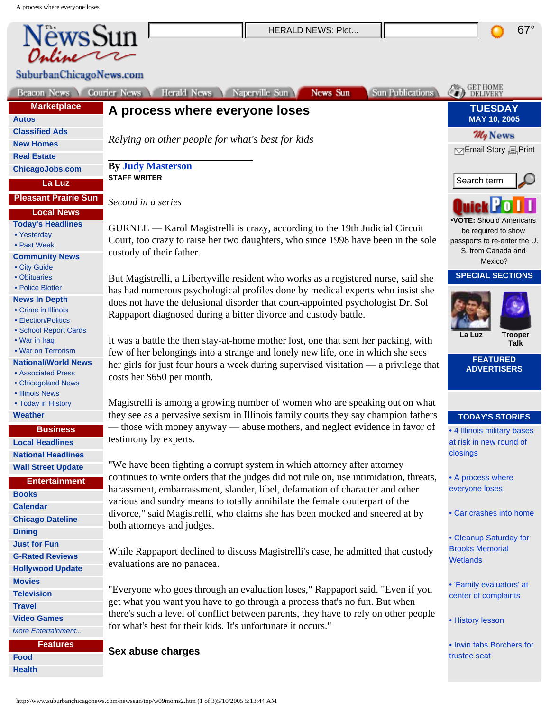<span id="page-0-0"></span>

| NewsSun                                    | <b>HERALD NEWS: Plot</b>                                                                                                                                              | $67^\circ$                                          |
|--------------------------------------------|-----------------------------------------------------------------------------------------------------------------------------------------------------------------------|-----------------------------------------------------|
|                                            |                                                                                                                                                                       |                                                     |
|                                            |                                                                                                                                                                       |                                                     |
| SuburbanChicagoNews.com                    |                                                                                                                                                                       |                                                     |
| Beacon News                                | Herald News Naperville Sun<br>News Sun<br><b>Sun Publications</b><br>Courier News                                                                                     | GET HOME                                            |
| <b>Marketplace</b>                         |                                                                                                                                                                       | <b>TUESDAY</b>                                      |
| <b>Autos</b>                               | A process where everyone loses                                                                                                                                        | MAY 10, 2005                                        |
| <b>Classified Ads</b>                      |                                                                                                                                                                       | <b>My News</b>                                      |
| <b>New Homes</b>                           | Relying on other people for what's best for kids                                                                                                                      |                                                     |
| <b>Real Estate</b>                         |                                                                                                                                                                       | <b>SEmail Story</b> <sub>国</sub> Print              |
| <b>ChicagoJobs.com</b>                     | <b>By Judy Masterson</b>                                                                                                                                              |                                                     |
| La Luz                                     | <b>STAFF WRITER</b>                                                                                                                                                   | Search term                                         |
| <b>Pleasant Prairie Sun</b>                | Second in a series                                                                                                                                                    |                                                     |
| <b>Local News</b>                          |                                                                                                                                                                       |                                                     |
| <b>Today's Headlines</b>                   | GURNEE — Karol Magistrelli is crazy, according to the 19th Judicial Circuit                                                                                           | <b>.VOTE: Should Americans</b>                      |
| • Yesterday                                | Court, too crazy to raise her two daughters, who since 1998 have been in the sole                                                                                     | be required to show<br>passports to re-enter the U. |
| • Past Week                                | custody of their father.                                                                                                                                              | S. from Canada and                                  |
| <b>Community News</b><br>• City Guide      |                                                                                                                                                                       | Mexico?                                             |
| • Obituaries                               | But Magistrelli, a Libertyville resident who works as a registered nurse, said she                                                                                    | <b>SPECIAL SECTIONS</b>                             |
| • Police Blotter                           | has had numerous psychological profiles done by medical experts who insist she                                                                                        |                                                     |
| <b>News In Depth</b>                       | does not have the delusional disorder that court-appointed psychologist Dr. Sol                                                                                       |                                                     |
| • Crime in Illinois<br>• Election/Politics | Rappaport diagnosed during a bitter divorce and custody battle.                                                                                                       |                                                     |
| • School Report Cards                      |                                                                                                                                                                       |                                                     |
| • War in Iraq                              | It was a battle the then stay-at-home mother lost, one that sent her packing, with                                                                                    | <b>Trooper</b><br>La Luz<br>Talk                    |
| • War on Terrorism                         | few of her belongings into a strange and lonely new life, one in which she sees                                                                                       | <b>FEATURED</b>                                     |
| <b>National/World News</b>                 | her girls for just four hours a week during supervised visitation — a privilege that                                                                                  | <b>ADVERTISERS</b>                                  |
| • Associated Press<br>• Chicagoland News   | costs her \$650 per month.                                                                                                                                            |                                                     |
| • Illinois News                            |                                                                                                                                                                       |                                                     |
| • Today in History                         | Magistrelli is among a growing number of women who are speaking out on what                                                                                           |                                                     |
| <b>Weather</b>                             | they see as a pervasive sexism in Illinois family courts they say champion fathers                                                                                    | <b>TODAY'S STORIES</b>                              |
| <b>Business</b>                            | — those with money anyway — abuse mothers, and neglect evidence in favor of                                                                                           | • 4 Illinois military bases                         |
| <b>Local Headlines</b>                     | testimony by experts.                                                                                                                                                 | at risk in new round of                             |
| <b>National Headlines</b>                  |                                                                                                                                                                       | closings                                            |
| <b>Wall Street Update</b>                  | "We have been fighting a corrupt system in which attorney after attorney                                                                                              |                                                     |
| <b>Entertainment</b>                       | continues to write orders that the judges did not rule on, use intimidation, threats,<br>harassment, embarrassment, slander, libel, defamation of character and other | • A process where<br>everyone loses                 |
| <b>Books</b>                               | various and sundry means to totally annihilate the female couterpart of the                                                                                           |                                                     |
| <b>Calendar</b>                            | divorce," said Magistrelli, who claims she has been mocked and sneered at by                                                                                          | • Car crashes into home                             |
| <b>Chicago Dateline</b>                    | both attorneys and judges.                                                                                                                                            |                                                     |
| <b>Dining</b>                              |                                                                                                                                                                       | • Cleanup Saturday for                              |
| <b>Just for Fun</b>                        | While Rappaport declined to discuss Magistrelli's case, he admitted that custody                                                                                      | <b>Brooks Memorial</b>                              |
| <b>G-Rated Reviews</b>                     | evaluations are no panacea.                                                                                                                                           | <b>Wetlands</b>                                     |
| <b>Hollywood Update</b>                    |                                                                                                                                                                       |                                                     |
| <b>Movies</b><br><b>Television</b>         | "Everyone who goes through an evaluation loses," Rappaport said. "Even if you                                                                                         | • 'Family evaluators' at                            |
| <b>Travel</b>                              | get what you want you have to go through a process that's no fun. But when                                                                                            | center of complaints                                |
| <b>Video Games</b>                         | there's such a level of conflict between parents, they have to rely on other people                                                                                   |                                                     |
| More Entertainment                         | for what's best for their kids. It's unfortunate it occurs."                                                                                                          | • History lesson                                    |
| <b>Features</b>                            |                                                                                                                                                                       | • Irwin tabs Borchers for                           |
| Food                                       | Sex abuse charges                                                                                                                                                     | trustee seat                                        |
| <b>Health</b>                              |                                                                                                                                                                       |                                                     |
|                                            |                                                                                                                                                                       |                                                     |
|                                            | http://www.suburbanchicagonews.com/newssun/top/w09moms2.htm (1 of 3)5/10/2005 5:13:44 AM                                                                              |                                                     |

67°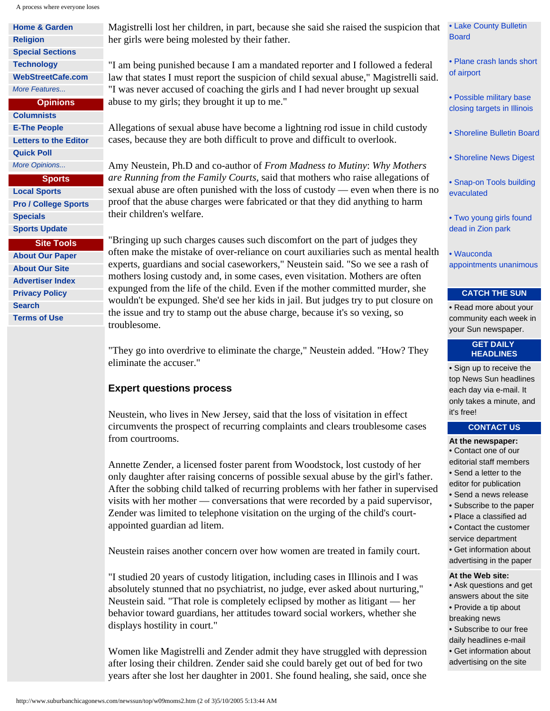A process where everyone loses

| <b>Home &amp; Garden</b>     | Magistre             |
|------------------------------|----------------------|
| <b>Religion</b>              | her girls            |
| <b>Special Sections</b>      |                      |
| <b>Technology</b>            | "I am be             |
| <b>WebStreetCafe.com</b>     | law that             |
| More Features                | "I was n             |
| <b>Opinions</b>              | abuse to             |
| <b>Columnists</b>            |                      |
| <b>E-The People</b>          | Allegatio            |
| <b>Letters to the Editor</b> | cases, be            |
|                              |                      |
| <b>Quick Poll</b>            |                      |
| More Opinions                | Amy Ne               |
| <b>Sports</b>                | are Runn             |
| <b>Local Sports</b>          | sexual al            |
| <b>Pro / College Sports</b>  | proof tha            |
| <b>Specials</b>              | their chi.           |
| <b>Sports Update</b>         |                      |
| <b>Site Tools</b>            | "Bringin             |
| <b>About Our Paper</b>       | often ma             |
| <b>About Our Site</b>        | experts,<br>mothers. |

 **[Advertiser Index](http://www.digitalchicago.com/advertiser_index.html)  [Privacy Policy](http://www.suburbanchicagonews.com/aboutus/privacy.html)  [Search](http://www.suburbanchicagonews.com/search/)  [Terms of Use](http://www.suburbanchicagonews.com/aboutus/terms.html)**

elli lost her children, in part, because she said she raised the suspicion that were being molested by their father.

ing punished because I am a mandated reporter and I followed a federal states I must report the suspicion of child sexual abuse," Magistrelli said. ever accused of coaching the girls and I had never brought up sexual my girls; they brought it up to me."

ons of sexual abuse have become a lightning rod issue in child custody ecause they are both difficult to prove and difficult to overlook.

amy Neustein, Ph.D and co-author of *From Madness to Mutiny*: *Why Mothers aring from the Family Courts*, said that mothers who raise allegations of buse are often punished with the loss of custody — even when there is no at the abuse charges were fabricated or that they did anything to harm ldren's welfare.

g up such charges causes such discomfort on the part of judges they ake the mistake of over-reliance on court auxiliaries such as mental health guardians and social caseworkers," Neustein said. "So we see a rash of mothers losing custody and, in some cases, even visitation. Mothers are often expunged from the life of the child. Even if the mother committed murder, she wouldn't be expunged. She'd see her kids in jail. But judges try to put closure on the issue and try to stamp out the abuse charge, because it's so vexing, so troublesome.

"They go into overdrive to eliminate the charge," Neustein added. "How? They eliminate the accuser."

# **Expert questions process**

Neustein, who lives in New Jersey, said that the loss of visitation in effect circumvents the prospect of recurring complaints and clears troublesome cases from courtrooms.

Annette Zender, a licensed foster parent from Woodstock, lost custody of her only daughter after raising concerns of possible sexual abuse by the girl's father. After the sobbing child talked of recurring problems with her father in supervised visits with her mother — conversations that were recorded by a paid supervisor, Zender was limited to telephone visitation on the urging of the child's courtappointed guardian ad litem.

Neustein raises another concern over how women are treated in family court.

"I studied 20 years of custody litigation, including cases in Illinois and I was absolutely stunned that no psychiatrist, no judge, ever asked about nurturing," Neustein said. "That role is completely eclipsed by mother as litigant — her behavior toward guardians, her attitudes toward social workers, whether she displays hostility in court."

Women like Magistrelli and Zender admit they have struggled with depression after losing their children. Zender said she could barely get out of bed for two years after she lost her daughter in 2001. She found healing, she said, once she

[• Lake County Bulletin](http://www.suburbanchicagonews.com/newssun/city/w09lcbboard.htm)  [Board](http://www.suburbanchicagonews.com/newssun/city/w09lcbboard.htm)

[• Plane crash lands short](http://www.suburbanchicagonews.com/newssun/city/w09plane.htm) [of airport](http://www.suburbanchicagonews.com/newssun/city/w09plane.htm)

- [Possible military base](http://www.suburbanchicagonews.com/newssun/top/w09base2.htm) [closing targets in Illinois](http://www.suburbanchicagonews.com/newssun/top/w09base2.htm)
- [Shoreline Bulletin Board](http://www.suburbanchicagonews.com/newssun/city/w09slbboard.htm)

[• Shoreline News Digest](http://www.suburbanchicagonews.com/newssun/city/w09sldigest.htm)

[• Snap-on Tools building](http://www.suburbanchicagonews.com/newssun/city/w09hazmat.htm) [evaculated](http://www.suburbanchicagonews.com/newssun/city/w09hazmat.htm)

[• Two young girls found](http://www.suburbanchicagonews.com/newssun/top/w09zion.htm) [dead in Zion park](http://www.suburbanchicagonews.com/newssun/top/w09zion.htm)

[• Wauconda](http://www.suburbanchicagonews.com/newssun/city/w09wauconda.htm) [appointments unanimous](http://www.suburbanchicagonews.com/newssun/city/w09wauconda.htm)

# **CATCH THE SUN**

• [Read more about your](http://www.suburbanchicagonews.com/sunpub/)  [community each week in](http://www.suburbanchicagonews.com/sunpub/) [your Sun newspaper.](http://www.suburbanchicagonews.com/sunpub/)

## **GET DAILY HEADLINES**

• [Sign up to receive the](http://www.suburbanchicagonews.com/forms/headlines.html) [top News Sun headlines](http://www.suburbanchicagonews.com/forms/headlines.html)  [each day via e-mail. It](http://www.suburbanchicagonews.com/forms/headlines.html) [only takes a minute, and](http://www.suburbanchicagonews.com/forms/headlines.html) [it's free!](http://www.suburbanchicagonews.com/forms/headlines.html) 

### **CONTACT US**

- **At the newspaper:**
- [Contact one of our](http://www.suburbanchicagonews.com/aboutus/selection/NS/contact.html)
- [editorial staff members](http://www.suburbanchicagonews.com/aboutus/selection/NS/contact.html)
- [Send a letter to the](http://www.suburbanchicagonews.com/aboutus/selection/NS/letter.html)
- [editor for publication](http://www.suburbanchicagonews.com/aboutus/selection/NS/letter.html)
- [Send a news release](http://www.suburbanchicagonews.com/aboutus/selection/NS/newsrelease.html)
- [Subscribe to the paper](https://secure.scn1.com/subscribe/)
- [Place a classified ad](https://secure.scn1.com/classifieds/)
- [Contact the customer](http://www.suburbanchicagonews.com/aboutus/selection/NS/customerservice.html)
- [service department](http://www.suburbanchicagonews.com/aboutus/selection/NS/customerservice.html) • [Get information about](http://www.suburbanchicagonews.com/aboutus/selection/NS/advertising.html)
- [advertising in the paper](http://www.suburbanchicagonews.com/aboutus/selection/NS/advertising.html)

#### **At the Web site:**

- [Ask questions and get](http://www.suburbanchicagonews.com/aboutus/online_contacts.html)  [answers about the site](http://www.suburbanchicagonews.com/aboutus/online_contacts.html)
- [Provide a tip about](http://www.suburbanchicagonews.com/aboutus/newstips.html)
- [breaking news](http://www.suburbanchicagonews.com/aboutus/newstips.html)
- [Subscribe to our free](http://www.suburbanchicagonews.com/forms/headlines.html)
- [daily headlines e-mail](http://www.suburbanchicagonews.com/forms/headlines.html)
- [Get information about](http://www.scnmedia.com/)  [advertising on the site](http://www.scnmedia.com/)